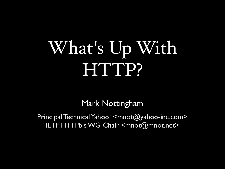## What's Up With HTTP?

Mark Nottingham

Principal Technical Yahoo! <mnot@yahoo-inc.com> IETF HTTPbis WG Chair <mnot@mnot.net>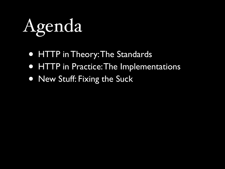# Agenda

- HTTP in Theory: The Standards
- HTTP in Practice: The Implementations
- New Stuff: Fixing the Suck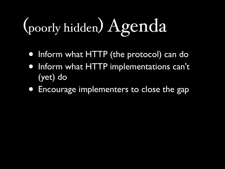# (poorly hidden) Agenda

- Inform what HTTP (the protocol) can do
- Inform what HTTP implementations can't (yet) do
- Encourage implementers to close the gap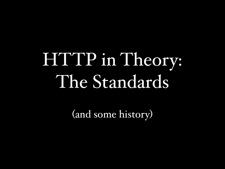## HTTP in Theory: The Standards

(and some history)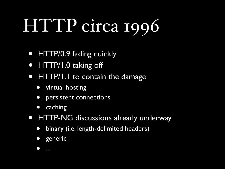## HTTP circa 1996

- HTTP/0.9 fading quickly
- HTTP/1.0 taking off
- HTTP/1.1 to contain the damage
	- virtual hosting
	- persistent connections
	- caching
- HTTP-NG discussions already underway
	- binary (i.e. length-delimited headers)
	- generic
	- ...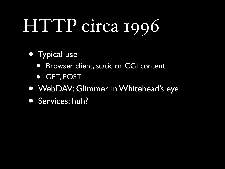## HTTP circa 1996

- Typical use
	- Browser client, static or CGI content
	- GET, POST
- WebDAV: Glimmer in Whitehead's eye
- Services: huh?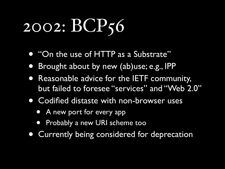## 2002: BCP56

- "On the use of HTTP as a Substrate"
- Brought about by new (ab)use; e.g., IPP
- Reasonable advice for the IETF community, but failed to foresee "services" and "Web 2.0"
- Codified distaste with non-browser uses
	- A new port for every app
	- Probably a new URI scheme too
- Currently being considered for deprecation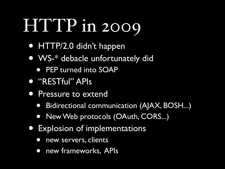## HTTP in 2009

- HTTP/2.0 didn't happen
- WS-\* debacle unfortunately did
	- PEP turned into SOAP
- "RESTful" APIs
- **Pressure to extend** 
	- Bidirectional communication (AJAX, BOSH...)
	- New Web protocols (OAuth, CORS...)
- Explosion of implementations
	- new servers, clients
	- new frameworks, APIs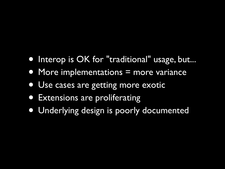#### • Interop is OK for "traditional" usage, but...

- More implementations = more variance
- Use cases are getting more exotic
- Extensions are proliferating
- Underlying design is poorly documented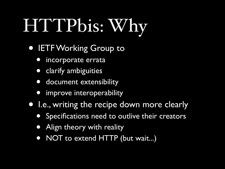# HTTPbis: Why

- **IETF Working Group to** 
	- incorporate errata
	- clarify ambiguities
	- document extensibility
	- improve interoperability
- I.e., writing the recipe down more clearly
	- Specifications need to outlive their creators
	- Align theory with reality
	- NOT to extend HTTP (but wait...)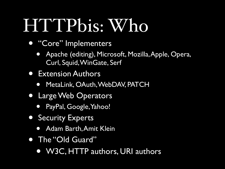### HTTPbis: Who

- "Core" Implementers
	- Apache (editing), Microsoft, Mozilla, Apple, Opera, Curl, Squid, WinGate, Serf
- Extension Authors
	- MetaLink, OAuth, WebDAV, PATCH
- Large Web Operators
	- PayPal, Google, Yahoo!
- Security Experts
	- Adam Barth, Amit Klein
- The "Old Guard"
	- W3C, HTTP authors, URI authors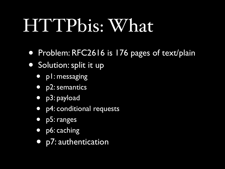### HTTPbis: What

- Problem: RFC2616 is 176 pages of text/plain
- Solution: split it up
	- p1: messaging
	- p2: semantics
	- p3: payload
	- p4: conditional requests
	- p5: ranges
	- p6: caching
	- p7: authentication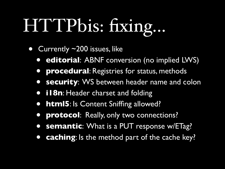# HTTPbis: fixing...

- Currently ~200 issues, like
	- **editorial**: ABNF conversion (no implied LWS)
	- **procedural**: Registries for status, methods
	- **security**: WS between header name and colon
	- **i18n**: Header charset and folding
	- **html5**: Is Content Sniffing allowed?
	- **protocol**: Really, only two connections?
	- **semantic**: What is a PUT response w/ETag?
	- **caching**: Is the method part of the cache key?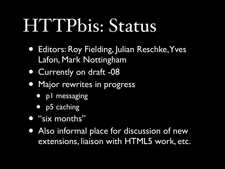### HTTPbis: Status

- Editors: Roy Fielding, Julian Reschke, Yves Lafon, Mark Nottingham
- Currently on draft -08
- Major rewrites in progress
	- p1 messaging
	- p5 caching
- "six months"
- Also informal place for discussion of new extensions, liaison with HTML5 work, etc.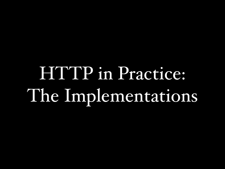HTTP in Practice: The Implementations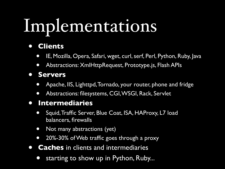# Implementations

#### • **Clients**

- IE, Mozilla, Opera, Safari, wget, curl, serf, Perl, Python, Ruby, Java
- Abstractions: XmlHttpRequest, Prototype.js, Flash APIs

#### • **Servers**

- Apache, IIS, Lighttpd, Tornado, your router, phone and fridge
- Abstractions: filesystems, CGI, WSGI, Rack, Servlet

#### • **Intermediaries**

- Squid, Traffic Server, Blue Coat, ISA, HAProxy, L7 load balancers, firewalls
- Not many abstractions (yet)
- 20%-30% of Web traffic goes through a proxy
- **Caches** in clients and intermediaries
	- **•** starting to show up in Python, Ruby...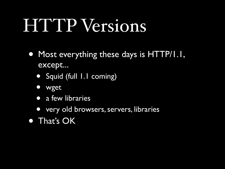#### HTTP Versions

- Most everything these days is HTTP/1.1, except...
	- Squid (full 1.1 coming)
	- wget
	- a few libraries
	- very old browsers, servers, libraries
- That's OK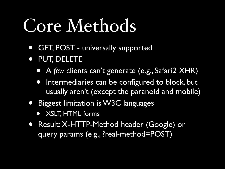## Core Methods

- GET, POST universally supported
- PUT, DELETE
	- <sup>A</sup>*few* clients can't generate (e.g., Safari2 XHR)
	- Intermediaries can be configured to block, but usually aren't (except the paranoid and mobile)
- Biggest limitation is W3C languages
	- XSLT, HTML forms
- Result: X-HTTP-Method header (Google) or query params (e.g., ?real-method=POST)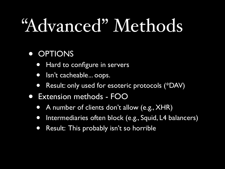## "Advanced" Methods

#### • OPTIONS

- Hard to configure in servers
- Isn't cacheable... oops.
- Result: only used for esoteric protocols (\*DAV)
- Extension methods FOO
	- A number of clients don't allow (e.g., XHR)
	- Intermediaries often block (e.g., Squid, L4 balancers)
	- Result: This probably isn't so horrible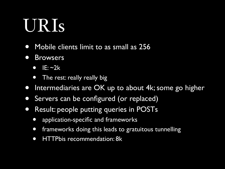### URIs

- Mobile clients limit to as small as 256
- **Browsers** 
	- $\bullet$  IE:  $\sim$ 2k
	- The rest: really really big
- Intermediaries are OK up to about 4k; some go higher
- Servers can be configured (or replaced)
- Result: people putting queries in POSTs
	- application-specific and frameworks
	- frameworks doing this leads to gratuitous tunnelling
	- HTTPbis recommendation: 8k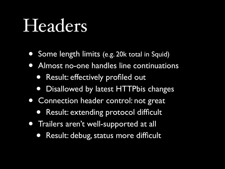#### Headers

- Some length limits (e.g. 20k total in Squid)
- Almost no-one handles line continuations
	- Result: effectively profiled out
	- Disallowed by latest HTTPbis changes
- Connection header control: not great
	- Result: extending protocol difficult
- Trailers aren't well-supported at all
	- Result: debug, status more difficult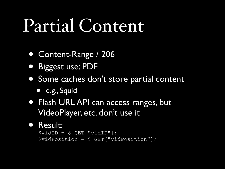### Partial Content

- Content-Range / 206
- Biggest use: PDF
- Some caches don't store partial content
	- e.g., Squid
- Flash URL API can access ranges, but VideoPlayer, etc. don't use it

#### • Result:

```
$vidID = $ GET['width"];$vidPosition = $_GET["vidPosition"];
```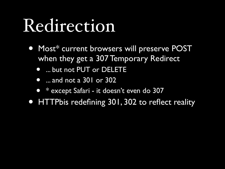### Redirection

- Most\* current browsers will preserve POST when they get a 307 Temporary Redirect
	- ... but not PUT or DELETE
	- ... and not a 301 or 302
	- \* except Safari it doesn't even do 307
- HTTPbis redefining 301, 302 to reflect reality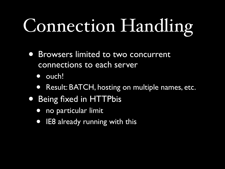## Connection Handling

- **Browsers limited to two concurrent** connections to each server
	- ouch!
	- Result: BATCH, hosting on multiple names, etc.
- Being fixed in HTTPbis
	- no particular limit
	- IE8 already running with this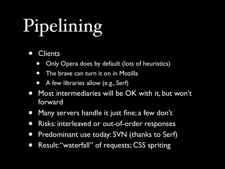# Pipelining

#### • Clients

- Only Opera does by default (lots of heuristics)
- The brave can turn it on in Mozilla
- A few libraries allow (e.g., Serf)
- Most intermediaries will be OK with it, but won't forward
- Many servers handle it just fine; a few don't
- Risks: interleaved or out-of-order responses
- Predominant use today: SVN (thanks to Serf)
- Result: "waterfall" of requests; CSS spriting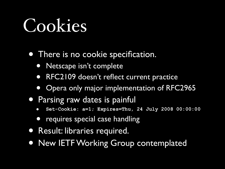### Cookies

- There is no cookie specification.
	- Netscape isn't complete
	- RFC2109 doesn't reflect current practice
	- Opera only major implementation of RFC2965
- Parsing raw dates is painful
	- **Set-Cookie: a=1; Expires=Thu, 24 July 2008 00:00:00**
	- **requires special case handling**
- Result: libraries required.
- New IETF Working Group contemplated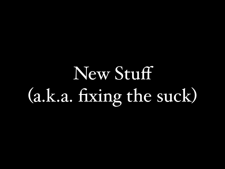## New Stuff (a.k.a. fixing the suck)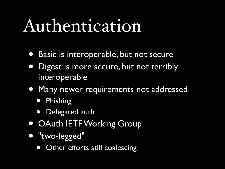#### Authentication

- Basic is interoperable, but not secure
- Digest is more secure, but not terribly interoperable
- Many newer requirements not addressed
	- Phishing
	- Delegated auth
- OAuth IETF Working Group
- "two-legged"
	- Other efforts still coalescing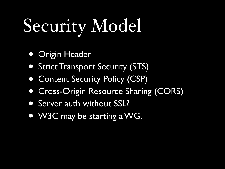# Security Model

- **Origin Header**
- Strict Transport Security (STS)
- Content Security Policy (CSP)
- Cross-Origin Resource Sharing (CORS)
- Server auth without SSL?
- W3C may be starting a WG.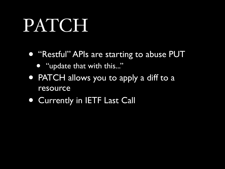### PATCH

- "Restful" APIs are starting to abuse PUT
	- "update that with this..."
- PATCH allows you to apply a diff to a resource
- Currently in IETF Last Call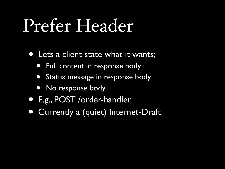### Prefer Header

- Lets a client state what it wants;
	- Full content in response body
	- Status message in response body
	- No response body
- E.g., POST /order-handler
- Currently a (quiet) Internet-Draft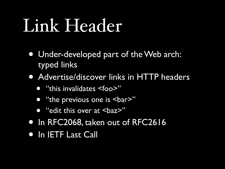### Link Header

- Under-developed part of the Web arch: typed links
- Advertise/discover links in HTTP headers
	- "this invalidates <foo>"
	- "the previous one is <bar>"
	- "edit this over at <baz>"
- In RFC2068, taken out of RFC2616
- In IETF Last Call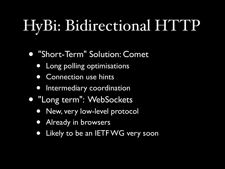#### HyBi: Bidirectional HTTP

- "Short-Term" Solution: Comet
	- Long polling optimisations
	- **Connection use hints**
	- Intermediary coordination
- "Long term": WebSockets
	- New, very low-level protocol
	- Already in browsers
	- Likely to be an IETF WG very soon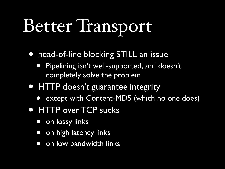# Better Transport

- head-of-line blocking STILL an issue
	- Pipelining isn't well-supported, and doesn't completely solve the problem
- HTTP doesn't guarantee integrity
	- except with Content-MD5 (which no one does)
- HTTP over TCP sucks
	- on lossy links
	- on high latency links
	- on low bandwidth links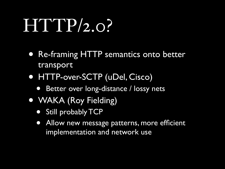### HTTP/2.0?

- Re-framing HTTP semantics onto better transport
- HTTP-over-SCTP (uDel, Cisco)
	- Better over long-distance / lossy nets
- WAKA (Roy Fielding)
	- Still probably TCP
	- Allow new message patterns, more efficient implementation and network use